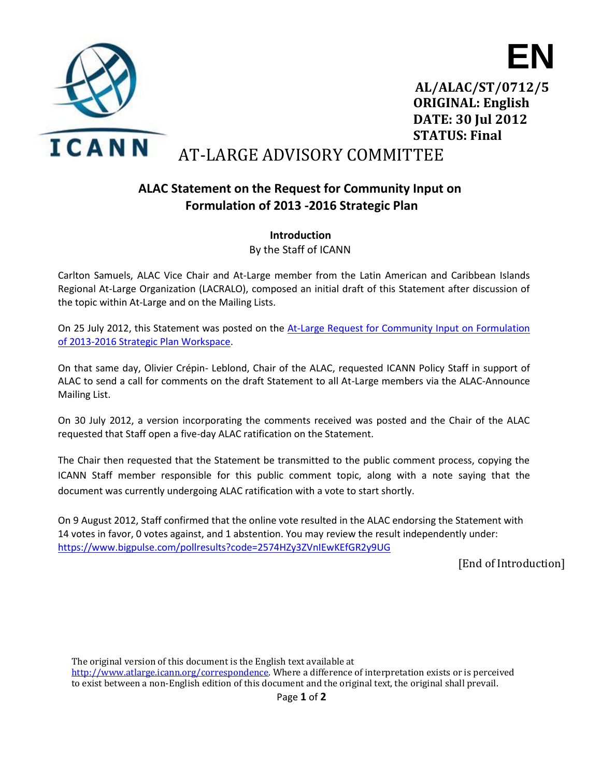



**AL/ALAC/ST/0712/5 ORIGINAL: English DATE: 30 Jul 2012 STATUS: Final**

## AT-LARGE ADVISORY COMMITTEE

## **ALAC Statement on the Request for Community Input on Formulation of 2013 -2016 Strategic Plan**

**Introduction** By the Staff of ICANN

Carlton Samuels, ALAC Vice Chair and At-Large member from the Latin American and Caribbean Islands Regional At-Large Organization (LACRALO), composed an initial draft of this Statement after discussion of the topic within At-Large and on the Mailing Lists.

On 25 July 2012, this Statement was posted on the At-Large Request for Community Input on Formulation [of 2013-2016 Strategic Plan Workspace.](https://community.icann.org/x/GwQQAg)

On that same day, Olivier Crépin- Leblond, Chair of the ALAC, requested ICANN Policy Staff in support of ALAC to send a call for comments on the draft Statement to all At-Large members via the ALAC-Announce Mailing List.

On 30 July 2012, a version incorporating the comments received was posted and the Chair of the ALAC requested that Staff open a five-day ALAC ratification on the Statement.

The Chair then requested that the Statement be transmitted to the public comment process, copying the ICANN Staff member responsible for this public comment topic, along with a note saying that the document was currently undergoing ALAC ratification with a vote to start shortly.

On 9 August 2012, Staff confirmed that the online vote resulted in the ALAC endorsing the Statement with 14 votes in favor, 0 votes against, and 1 abstention. You may review the result independently under: <https://www.bigpulse.com/pollresults?code=2574HZy3ZVnIEwKEfGR2y9UG>

[End of Introduction]

The original version of this document is the English text available a[t](http://www.atlarge.icann.org/correspondence)  [http://www.atlarge.icann.org/correspondence.](http://www.atlarge.icann.org/correspondence) Where a difference of interpretation exists or is perceived to exist between a non‐English edition of this document and the original text, the original shall prevail.